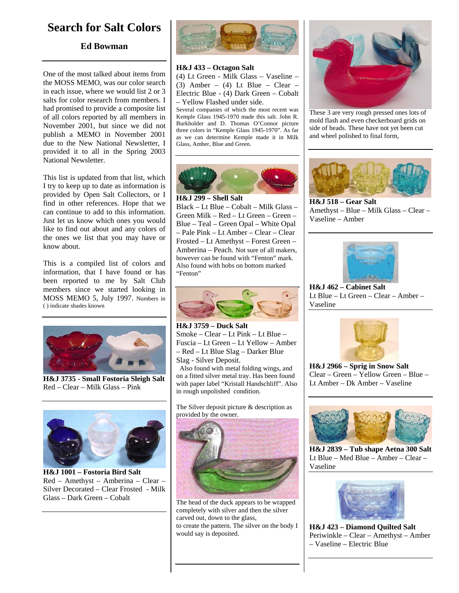## **Search for Salt Colors**

## **Ed Bowman**

One of the most talked about items from the MOSS MEMO, was our color search in each issue, where we would list 2 or 3 salts for color research from members. I had promised to provide a composite list of all colors reported by all members in November 2001, but since we did not publish a MEMO in November 2001 due to the New National Newsletter, I provided it to all in the Spring 2003 National Newsletter.

This list is updated from that list, which I try to keep up to date as information is provided by Open Salt Collectors, or I find in other references. Hope that we can continue to add to this information. Just let us know which ones you would like to find out about and any colors of the ones we list that you may have or know about.

This is a compiled list of colors and information, that I have found or has been reported to me by Salt Club members since we started looking in MOSS MEMO 5, July 1997. Numbers in ( ) indicate shades known



**H&J 3735 - Small Fostoria Sleigh Salt**  Red – Clear – Milk Glass – Pink



**H&J 1001 – Fostoria Bird Salt**  Red – Amethyst – Amberina – Clear – Silver Decorated – Clear Frosted - Milk Glass – Dark Green – Cobalt



## **H&J 433 – Octagon Salt**

(4) Lt Green - Milk Glass – Vaseline – (3) Amber – (4) Lt Blue – Clear – Electric Blue - (4) Dark Green – Cobalt – Yellow Flashed under side.

Several companies of which the most recent was Kemple Glass 1945-1970 made this salt. John R. Burkholder and D. Thomas O'Connor picture three colors in "Kemple Glass 1945-1970". As far as we can determine Kemple made it in Milk Glass, Amber, Blue and Green.



Black – Lt Blue – Cobalt – Milk Glass – Green Milk – Red – Lt Green – Green – Blue – Teal – Green Opal – White Opal – Pale Pink – Lt Amber – Clear – Clear Frosted – Lt Amethyst – Forest Green – Amberina – Peach. Not sure of all makers, however can be found with "Fenton" mark. Also found with hobs on bottom marked "Fenton"



**H&J 3759 – Duck Salt**  Smoke – Clear – Lt Pink – Lt Blue – Fuscia – Lt Green – Lt Yellow – Amber – Red – Lt Blue Slag – Darker Blue Slag - Silver Deposit.

 Also found with metal folding wings, and on a fitted silver metal tray. Has been found with paper label "Kristall Handschliff". Also in rough unpolished condition.

The Silver deposit picture & description as provided by the owner.



The head of the duck appears to be wrapped completely with silver and then the silver carved out, down to the glass, to create the pattern. The silver on the body I would say is deposited.



These 3 are very rough pressed ones lots of mold flash and even checkerboard grids on side of heads. These have not yet been cut and wheel polished to final form,



**H&J 518 – Gear Salt**  Amethyst – Blue – Milk Glass – Clear – Vaseline – Amber



**H&J 462 – Cabinet Salt**  Lt Blue – Lt Green – Clear – Amber – Vaseline



**H&J 2966 – Sprig in Snow Salt**  Clear – Green – Yellow Green – Blue – Lt Amber – Dk Amber – Vaseline



**H&J 2839 – Tub shape Aetna 300 Salt**  Lt Blue – Med Blue – Amber – Clear – Vaseline



**H&J 423 – Diamond Quilted Salt**  Periwinkle – Clear – Amethyst – Amber – Vaseline – Electric Blue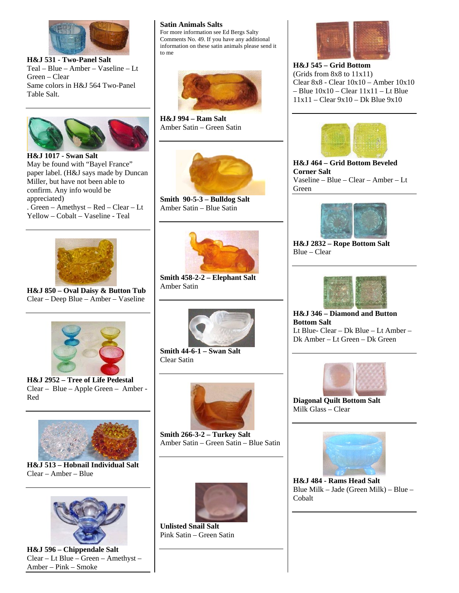

**H&J 531 - Two-Panel Salt**  Teal – Blue – Amber – Vaseline – Lt Green – Clear Same colors in H&J 564 Two-Panel Table Salt.



**H&J 1017 - Swan Salt**  May be found with "Bayel France" paper label. (H&J says made by Duncan Miller, but have not been able to confirm. Any info would be appreciated) . Green – Amethyst – Red – Clear – Lt Yellow – Cobalt – Vaseline - Teal

## **Satin Animals Salts**

For more information see Ed Bergs Salty Comments No. 49. If you have any additional information on these satin animals please send it to me



**H&J 994 – Ram Salt**  Amber Satin – Green Satin



**Smith 90-5-3 – Bulldog Salt**  Amber Satin – Blue Satin



**H&J 850 – Oval Daisy & Button Tub**  Clear – Deep Blue – Amber – Vaseline



**H&J 2952 – Tree of Life Pedestal**  Clear – Blue – Apple Green – Amber - Red



**H&J 513 – Hobnail Individual Salt**  Clear – Amber – Blue



**H&J 596 – Chippendale Salt**  Clear – Lt Blue – Green – Amethyst – Amber – Pink – Smoke



**Smith 458-2-2 – Elephant Salt**  Amber Satin



**Smith 44-6-1 – Swan Salt**  Clear Satin



**Smith 266-3-2 – Turkey Salt**  Amber Satin – Green Satin – Blue Satin



**Unlisted Snail Salt**  Pink Satin – Green Satin



**H&J 545 – Grid Bottom**  (Grids from 8x8 to 11x11) Clear 8x8 - Clear 10x10 – Amber 10x10  $-$  Blue  $10x10 -$ Clear  $11x11 -$ Lt Blue 11x11 – Clear 9x10 – Dk Blue 9x10



**H&J 464 – Grid Bottom Beveled Corner Salt**  Vaseline – Blue – Clear – Amber – Lt Green



**H&J 2832 – Rope Bottom Salt**  Blue – Clear



**H&J 346 – Diamond and Button Bottom Salt**  Lt Blue- Clear – Dk Blue – Lt Amber – Dk Amber – Lt Green – Dk Green



**Diagonal Quilt Bottom Salt**  Milk Glass – Clear



**H&J 484 - Rams Head Salt**  Blue Milk – Jade (Green Milk) – Blue – Cobalt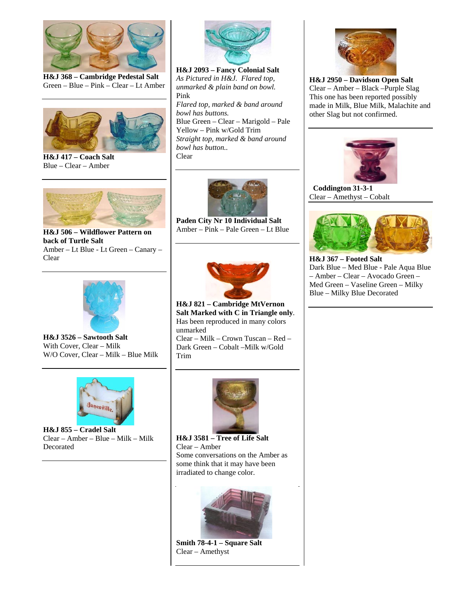

**H&J 368 – Cambridge Pedestal Salt**  Green – Blue – Pink – Clear – Lt Amber



**H&J 417 – Coach Salt**  Blue – Clear – Amber



**H&J 506 – Wildflower Pattern on back of Turtle Salt**  Amber – Lt Blue - Lt Green – Canary – Clear



**H&J 3526 – Sawtooth Salt**  With Cover, Clear – Milk W/O Cover, Clear – Milk – Blue Milk



**H&J 855 – Cradel Salt**  Clear – Amber – Blue – Milk – Milk Decorated



**H&J 2093 – Fancy Colonial Salt**  *As Pictured in H&J. Flared top, unmarked & plain band on bowl.*  Pink *Flared top, marked & band around bowl has buttons.*  Blue Green – Clear – Marigold – Pale Yellow – Pink w/Gold Trim *Straight top, marked & band around bowl has button..*  Clear



**Paden City Nr 10 Individual Salt**  Amber – Pink – Pale Green – Lt Blue



**H&J 821 – Cambridge MtVernon Salt Marked with C in Triangle only**. Has been reproduced in many colors unmarked Clear – Milk – Crown Tuscan – Red –

Dark Green – Cobalt –Milk w/Gold Trim



**H&J 3581 – Tree of Life Salt**  Clear – Amber Some conversations on the Amber as some think that it may have been irradiated to change color.



**Smith 78-4-1 – Square Salt**  Clear – Amethyst



**H&J 2950 – Davidson Open Salt**  Clear – Amber – Black –Purple Slag This one has been reported possibly made in Milk, Blue Milk, Malachite and other Slag but not confirmed.



 **Coddington 31-3-1**  Clear – Amethyst – Cobalt



**H&J 367 – Footed Salt**  Dark Blue – Med Blue - Pale Aqua Blue – Amber – Clear – Avocado Green – Med Green – Vaseline Green – Milky Blue – Milky Blue Decorated